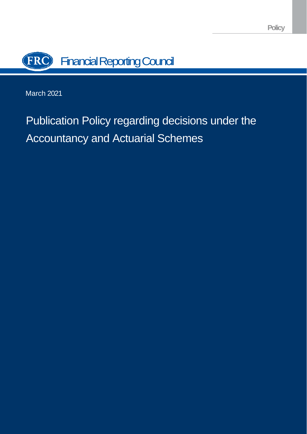

March 2021

# Publication Policy regarding decisions under the Accountancy and Actuarial Schemes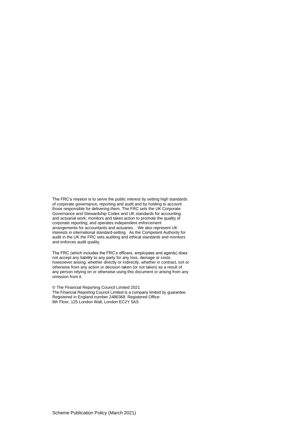The FRC's mission is to serve the public interest by setting high standards of corporate governance, reporting and audit and by holding to account those responsible for delivering them. The FRC sets the UK Corporate Governance and Stewardship Codes and UK standards for accounting and actuarial work; monitors and takes action to promote the quality of corporate reporting; and operates independent enforcement arrangements for accountants and actuaries. . We also represent UK interests in international standard-setting. As the Competent Authority for audit in the UK the FRC sets auditing and ethical standards and monitors and enforces audit quality.

The FRC (which includes the FRC's officers, employees and agents) does not accept any liability to any party for any loss, damage or costs howsoever arising, whether directly or indirectly, whether in contract, tort or otherwise from any action or decision taken (or not taken) as a result of any person relying on or otherwise using this document or arising from any omission from it.

© The Financial Reporting Council Limited 2021 The Financial Reporting Council Limited is a company limited by guarantee. Registered in England number 2486368. Registered Office: 8th Floor, 125 London Wall, London EC2Y 5AS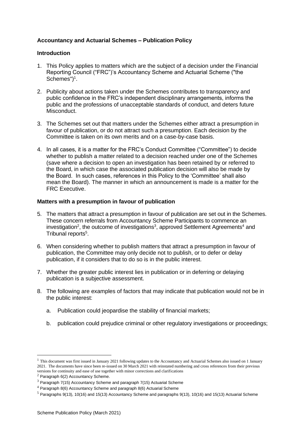# **Accountancy and Actuarial Schemes – Publication Policy**

## **Introduction**

- 1. This Policy applies to matters which are the subject of a decision under the Financial Reporting Council ("FRC")'s Accountancy Scheme and Actuarial Scheme ("the Schemes")<sup>1</sup>.
- 2. Publicity about actions taken under the Schemes contributes to transparency and public confidence in the FRC's independent disciplinary arrangements, informs the public and the professions of unacceptable standards of conduct, and deters future Misconduct.
- 3. The Schemes set out that matters under the Schemes either attract a presumption in favour of publication, or do not attract such a presumption. Each decision by the Committee is taken on its own merits and on a case-by-case basis.
- 4. In all cases, it is a matter for the FRC's Conduct Committee ("Committee") to decide whether to publish a matter related to a decision reached under one of the Schemes (save where a decision to open an investigation has been retained by or referred to the Board, in which case the associated publication decision will also be made by the Board. In such cases, references in this Policy to the 'Committee' shall also mean the Board). The manner in which an announcement is made is a matter for the FRC Executive.

## **Matters with a presumption in favour of publication**

- 5. The matters that attract a presumption in favour of publication are set out in the Schemes. These concern referrals from Accountancy Scheme Participants to commence an investigation<sup>2</sup>, the outcome of investigations<sup>3</sup>, approved Settlement Agreements<sup>4</sup> and Tribunal reports<sup>5</sup>.
- 6. When considering whether to publish matters that attract a presumption in favour of publication, the Committee may only decide not to publish, or to defer or delay publication, if it considers that to do so is in the public interest.
- 7. Whether the greater public interest lies in publication or in deferring or delaying publication is a subjective assessment.
- 8. The following are examples of factors that may indicate that publication would not be in the public interest:
	- a. Publication could jeopardise the stability of financial markets;
	- b. publication could prejudice criminal or other regulatory investigations or proceedings;

 $<sup>1</sup>$  This document was first issued in January 2021 following updates to the Accountancy and Actuarial Schemes also issued on 1 January</sup> 2021. The documents have since been re-issued on 30 March 2021 with reinstated numbering and cross references from their previous versions for continuity and ease of use together with minor corrections and clarifications

 $2$  Paragraph 6(2) Accountancy Scheme.

<sup>3</sup> Paragraph 7(15) Accountancy Scheme and paragraph 7(15) Actuarial Scheme

<sup>4</sup> Paragraph 8(6) Accountancy Scheme and paragraph 8(6) Actuarial Scheme

 $5$  Paragraphs 9(13), 10(16) and 15(13) Accountancy Scheme and paragraphs 9(13), 10(16) and 15(13) Actuarial Scheme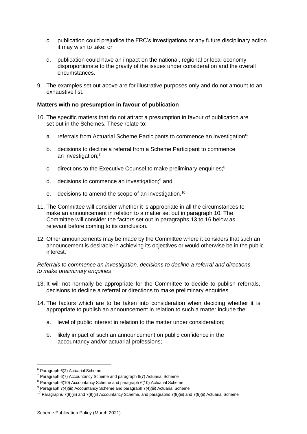- c. publication could prejudice the FRC's investigations or any future disciplinary action it may wish to take; or
- d. publication could have an impact on the national, regional or local economy disproportionate to the gravity of the issues under consideration and the overall circumstances.
- 9. The examples set out above are for illustrative purposes only and do not amount to an exhaustive list.

## **Matters with no presumption in favour of publication**

- 10. The specific matters that do not attract a presumption in favour of publication are set out in the Schemes. These relate to:
	- a. referrals from Actuarial Scheme Participants to commence an investigation<sup>6</sup>;
	- b. decisions to decline a referral from a Scheme Participant to commence an investigation;<sup>7</sup>
	- c. directions to the Executive Counsel to make preliminary enquiries;<sup>8</sup>
	- d. decisions to commence an investigation;<sup>9</sup> and
	- e. decisions to amend the scope of an investigation.<sup>10</sup>
- 11. The Committee will consider whether it is appropriate in all the circumstances to make an announcement in relation to a matter set out in paragraph 10. The Committee will consider the factors set out in paragraphs 13 to 16 below as relevant before coming to its conclusion.
- 12. Other announcements may be made by the Committee where it considers that such an announcement is desirable in achieving its objectives or would otherwise be in the public interest.

*Referrals to commence an investigation, decisions to decline a referral and directions to make preliminary enquiries*

- 13. It will not normally be appropriate for the Committee to decide to publish referrals, decisions to decline a referral or directions to make preliminary enquiries.
- 14. The factors which are to be taken into consideration when deciding whether it is appropriate to publish an announcement in relation to such a matter include the:
	- a. level of public interest in relation to the matter under consideration;
	- b. likely impact of such an announcement on public confidence in the accountancy and/or actuarial professions;

 $6$  Paragraph 6(2) Actuarial Scheme

 $7$  Paragraph 6(7) Accountancy Scheme and paragraph 6(7) Actuarial Scheme

<sup>8</sup> Paragraph 6(10) Accountancy Scheme and paragraph 6(10) Actuarial Scheme

 $9$  Paragraph 7(4)(iii) Accountancy Scheme and paragraph 7(4)(iii) Actuarial Scheme

<sup>&</sup>lt;sup>10</sup> Paragraphs 7(8)(iii) and 7(9)(ii) Accountancy Scheme, and paragraphs 7(8)(iii) and 7(9)(ii) Actuarial Scheme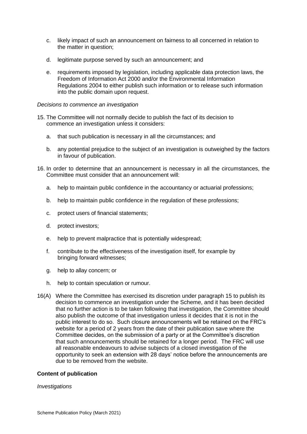- c. likely impact of such an announcement on fairness to all concerned in relation to the matter in question;
- d. legitimate purpose served by such an announcement; and
- e. requirements imposed by legislation, including applicable data protection laws, the Freedom of Information Act 2000 and/or the Environmental Information Regulations 2004 to either publish such information or to release such information into the public domain upon request.

#### *Decisions to commence an investigation*

- 15. The Committee will not normally decide to publish the fact of its decision to commence an investigation unless it considers:
	- a. that such publication is necessary in all the circumstances; and
	- b. any potential prejudice to the subject of an investigation is outweighed by the factors in favour of publication.
- 16. In order to determine that an announcement is necessary in all the circumstances, the Committee must consider that an announcement will:
	- a. help to maintain public confidence in the accountancy or actuarial professions;
	- b. help to maintain public confidence in the regulation of these professions;
	- c. protect users of financial statements;
	- d. protect investors;
	- e. help to prevent malpractice that is potentially widespread;
	- f. contribute to the effectiveness of the investigation itself, for example by bringing forward witnesses;
	- g. help to allay concern; or
	- h. help to contain speculation or rumour.
- 16(A) Where the Committee has exercised its discretion under paragraph 15 to publish its decision to commence an investigation under the Scheme, and it has been decided that no further action is to be taken following that investigation, the Committee should also publish the outcome of that investigation unless it decides that it is not in the public interest to do so. Such closure announcements will be retained on the FRC's website for a period of 2 years from the date of their publication save where the Committee decides, on the submission of a party or at the Committee's discretion that such announcements should be retained for a longer period. The FRC will use all reasonable endeavours to advise subjects of a closed investigation of the opportunity to seek an extension with 28 days' notice before the announcements are due to be removed from the website.

#### **Content of publication**

#### *Investigations*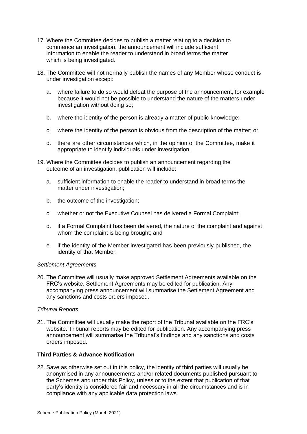- 17. Where the Committee decides to publish a matter relating to a decision to commence an investigation, the announcement will include sufficient information to enable the reader to understand in broad terms the matter which is being investigated.
- 18. The Committee will not normally publish the names of any Member whose conduct is under investigation except:
	- a. where failure to do so would defeat the purpose of the announcement, for example because it would not be possible to understand the nature of the matters under investigation without doing so;
	- b. where the identity of the person is already a matter of public knowledge;
	- c. where the identity of the person is obvious from the description of the matter; or
	- d. there are other circumstances which, in the opinion of the Committee, make it appropriate to identify individuals under investigation.
- 19. Where the Committee decides to publish an announcement regarding the outcome of an investigation, publication will include:
	- a. sufficient information to enable the reader to understand in broad terms the matter under investigation;
	- b. the outcome of the investigation;
	- c. whether or not the Executive Counsel has delivered a Formal Complaint;
	- d. if a Formal Complaint has been delivered, the nature of the complaint and against whom the complaint is being brought; and
	- e. if the identity of the Member investigated has been previously published, the identity of that Member.

#### *Settlement Agreements*

20. The Committee will usually make approved Settlement Agreements available on the FRC's website. Settlement Agreements may be edited for publication. Any accompanying press announcement will summarise the Settlement Agreement and any sanctions and costs orders imposed.

#### *Tribunal Reports*

21. The Committee will usually make the report of the Tribunal available on the FRC's website. Tribunal reports may be edited for publication. Any accompanying press announcement will summarise the Tribunal's findings and any sanctions and costs orders imposed.

## **Third Parties & Advance Notification**

22. Save as otherwise set out in this policy, the identity of third parties will usually be anonymised in any announcements and/or related documents published pursuant to the Schemes and under this Policy, unless or to the extent that publication of that party's identity is considered fair and necessary in all the circumstances and is in compliance with any applicable data protection laws.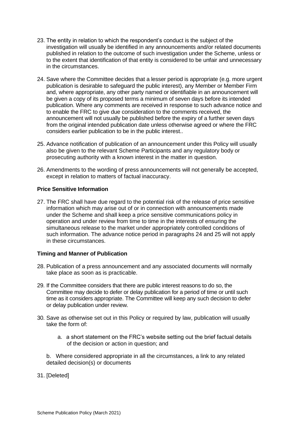- 23. The entity in relation to which the respondent's conduct is the subject of the investigation will usually be identified in any announcements and/or related documents published in relation to the outcome of such investigation under the Scheme, unless or to the extent that identification of that entity is considered to be unfair and unnecessary in the circumstances.
- 24. Save where the Committee decides that a lesser period is appropriate (e.g. more urgent publication is desirable to safeguard the public interest), any Member or Member Firm and, where appropriate, any other party named or identifiable in an announcement will be given a copy of its proposed terms a minimum of seven days before its intended publication. Where any comments are received in response to such advance notice and to enable the FRC to give due consideration to the comments received, the announcement will not usually be published before the expiry of a further seven days from the original intended publication date unless otherwise agreed or where the FRC considers earlier publication to be in the public interest..
- 25. Advance notification of publication of an announcement under this Policy will usually also be given to the relevant Scheme Participants and any regulatory body or prosecuting authority with a known interest in the matter in question.
- 26. Amendments to the wording of press announcements will not generally be accepted, except in relation to matters of factual inaccuracy.

## **Price Sensitive Information**

27. The FRC shall have due regard to the potential risk of the release of price sensitive information which may arise out of or in connection with announcements made under the Scheme and shall keep a price sensitive communications policy in operation and under review from time to time in the interests of ensuring the simultaneous release to the market under appropriately controlled conditions of such information. The advance notice period in paragraphs 24 and 25 will not apply in these circumstances.

#### **Timing and Manner of Publication**

- 28. Publication of a press announcement and any associated documents will normally take place as soon as is practicable.
- 29. If the Committee considers that there are public interest reasons to do so, the Committee may decide to defer or delay publication for a period of time or until such time as it considers appropriate. The Committee will keep any such decision to defer or delay publication under review.
- 30. Save as otherwise set out in this Policy or required by law, publication will usually take the form of:
	- a. a short statement on the FRC's website setting out the brief factual details of the decision or action in question; and

b. Where considered appropriate in all the circumstances, a link to any related detailed decision(s) or documents

31. [Deleted]